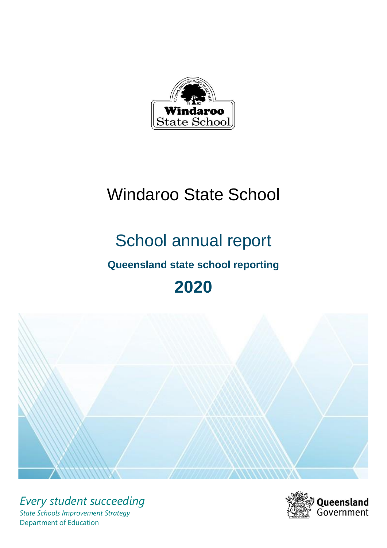

# Windaroo State School

# School annual report

# **Queensland state school reporting**

# **2020**



*Every student succeeding State Schools Improvement Strategy* Department of Education

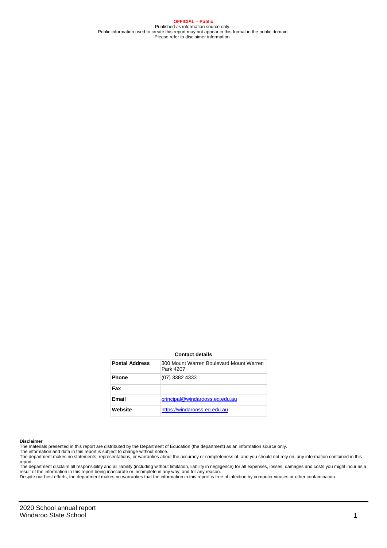**OFFICIAL – Public** Published as information source only. Public information used to create this report may not appear in this format in the public domain Please refer to disclaimer information.

#### **Contact details**

| <b>Postal Address</b> | 300 Mount Warren Boulevard Mount Warren<br>Park 4207 |
|-----------------------|------------------------------------------------------|
| <b>Phone</b>          | $(07)$ 3382 4333                                     |
| Fax                   |                                                      |
| Email                 | principal@windarooss.eq.edu.au                       |
| Website               | https://windarooss.eq.edu.au                         |

#### **Disclaimer**

The materials presented in this report are distributed by the Department of Education (the department) as an information source only.

The information and data in this report is subject to change without notice.<br>The department makes no statements, representations, or warranties about the accuracy or completeness of, and you should not rely on, any informa report.

The department disclaim all responsibility and all liability (including without limitation, liability in negligence) for all expenses, losses, damages and costs you might incur as a<br>result of the information in this report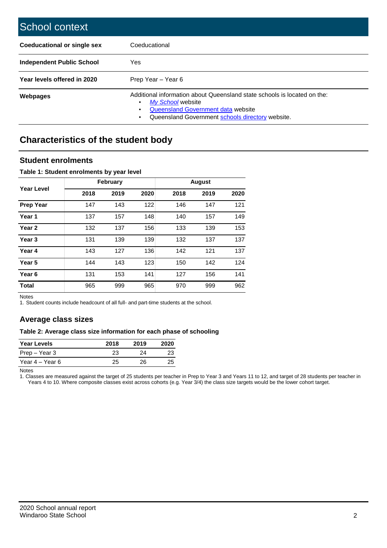| School context                     |                                                                                                                                                                                         |
|------------------------------------|-----------------------------------------------------------------------------------------------------------------------------------------------------------------------------------------|
| <b>Coeducational or single sex</b> | Coeducational                                                                                                                                                                           |
| <b>Independent Public School</b>   | Yes                                                                                                                                                                                     |
| Year levels offered in 2020        | Prep Year - Year 6                                                                                                                                                                      |
| <b>Webpages</b>                    | Additional information about Queensland state schools is located on the:<br>My School website<br>Queensland Government data website<br>Queensland Government schools directory website. |

# **Characteristics of the student body**

### **Student enrolments**

#### **Table 1: Student enrolments by year level**

|                   |      | <b>February</b> |      |      | <b>August</b> |      |
|-------------------|------|-----------------|------|------|---------------|------|
| Year Level        | 2018 | 2019            | 2020 | 2018 | 2019          | 2020 |
| <b>Prep Year</b>  | 147  | 143             | 122  | 146  | 147           | 121  |
| Year 1            | 137  | 157             | 148  | 140  | 157           | 149  |
| Year <sub>2</sub> | 132  | 137             | 156  | 133  | 139           | 153  |
| Year <sub>3</sub> | 131  | 139             | 139  | 132  | 137           | 137  |
| Year 4            | 143  | 127             | 136  | 142  | 121           | 137  |
| Year 5            | 144  | 143             | 123  | 150  | 142           | 124  |
| Year <sub>6</sub> | 131  | 153             | 141  | 127  | 156           | 141  |
| <b>Total</b>      | 965  | 999             | 965  | 970  | 999           | 962  |

Notes

1. Student counts include headcount of all full- and part-time students at the school.

## **Average class sizes**

#### **Table 2: Average class size information for each phase of schooling**

| <b>Year Levels</b> | 2018 | 2019 | 2020 |
|--------------------|------|------|------|
| Prep – Year 3      | 23   | 24   | 23   |
| Year 4 – Year 6    | 25   | 26   | 25   |

Notes

1. Classes are measured against the target of 25 students per teacher in Prep to Year 3 and Years 11 to 12, and target of 28 students per teacher in Years 4 to 10. Where composite classes exist across cohorts (e.g. Year 3/4) the class size targets would be the lower cohort target.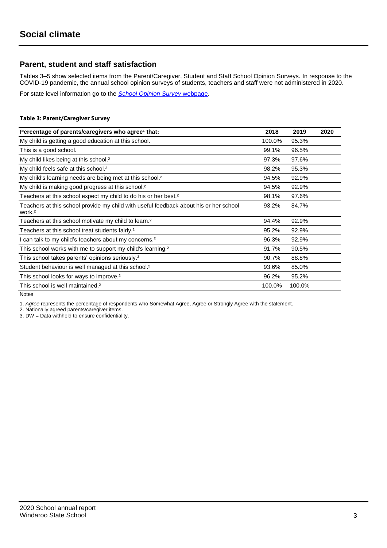## **Parent, student and staff satisfaction**

Tables 3–5 show selected items from the Parent/Caregiver, Student and Staff School Opinion Surveys. In response to the COVID-19 pandemic, the annual school opinion surveys of students, teachers and staff were not administered in 2020.

For state level information go to the *[School Opinion Survey](https://qed.qld.gov.au/publications/reports/statistics/schooling/schools/schoolopinionsurvey)* [webpage.](https://qed.qld.gov.au/publications/reports/statistics/schooling/schools/schoolopinionsurvey)

#### **Table 3: Parent/Caregiver Survey**

| Percentage of parents/caregivers who agree <sup>1</sup> that:                                               | 2018   | 2019   | 2020 |
|-------------------------------------------------------------------------------------------------------------|--------|--------|------|
| My child is getting a good education at this school.                                                        | 100.0% | 95.3%  |      |
| This is a good school.                                                                                      | 99.1%  | 96.5%  |      |
| My child likes being at this school. <sup>2</sup>                                                           | 97.3%  | 97.6%  |      |
| My child feels safe at this school. <sup>2</sup>                                                            | 98.2%  | 95.3%  |      |
| My child's learning needs are being met at this school. <sup>2</sup>                                        | 94.5%  | 92.9%  |      |
| My child is making good progress at this school. <sup>2</sup>                                               | 94.5%  | 92.9%  |      |
| Teachers at this school expect my child to do his or her best. <sup>2</sup>                                 | 98.1%  | 97.6%  |      |
| Teachers at this school provide my child with useful feedback about his or her school<br>work. <sup>2</sup> | 93.2%  | 84.7%  |      |
| Teachers at this school motivate my child to learn. <sup>2</sup>                                            | 94.4%  | 92.9%  |      |
| Teachers at this school treat students fairly. <sup>2</sup>                                                 | 95.2%  | 92.9%  |      |
| I can talk to my child's teachers about my concerns. <sup>2</sup>                                           | 96.3%  | 92.9%  |      |
| This school works with me to support my child's learning. <sup>2</sup>                                      | 91.7%  | 90.5%  |      |
| This school takes parents' opinions seriously. <sup>2</sup>                                                 | 90.7%  | 88.8%  |      |
| Student behaviour is well managed at this school. <sup>2</sup>                                              | 93.6%  | 85.0%  |      |
| This school looks for ways to improve. <sup>2</sup>                                                         | 96.2%  | 95.2%  |      |
| This school is well maintained. <sup>2</sup>                                                                | 100.0% | 100.0% |      |

Notes

1. *Agree* represents the percentage of respondents who Somewhat Agree, Agree or Strongly Agree with the statement.

2. Nationally agreed parents/caregiver items.

3. DW = Data withheld to ensure confidentiality.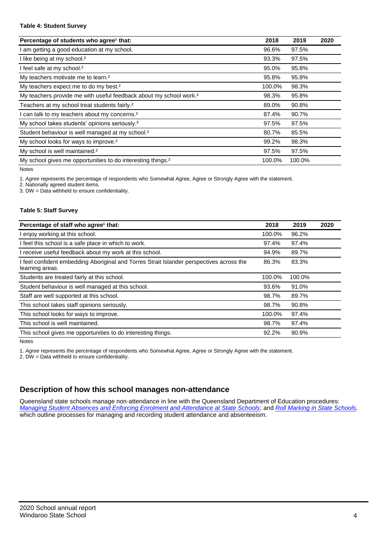#### **Table 4: Student Survey**

| Percentage of students who agree <sup>1</sup> that:                            | 2018   | 2019   | 2020 |
|--------------------------------------------------------------------------------|--------|--------|------|
| am getting a good education at my school.                                      | 96.6%  | 97.5%  |      |
| I like being at my school. <sup>2</sup>                                        | 93.3%  | 97.5%  |      |
| I feel safe at my school. <sup>2</sup>                                         | 95.0%  | 95.8%  |      |
| My teachers motivate me to learn. <sup>2</sup>                                 | 95.8%  | 95.8%  |      |
| My teachers expect me to do my best. <sup>2</sup>                              | 100.0% | 98.3%  |      |
| My teachers provide me with useful feedback about my school work. <sup>2</sup> | 98.3%  | 95.8%  |      |
| Teachers at my school treat students fairly. <sup>2</sup>                      | 89.0%  | 90.8%  |      |
| can talk to my teachers about my concerns. <sup>2</sup>                        | 87.4%  | 90.7%  |      |
| My school takes students' opinions seriously. <sup>2</sup>                     | 97.5%  | 97.5%  |      |
| Student behaviour is well managed at my school. <sup>2</sup>                   | 80.7%  | 85.5%  |      |
| My school looks for ways to improve. <sup>2</sup>                              | 99.2%  | 98.3%  |      |
| My school is well maintained. <sup>2</sup>                                     | 97.5%  | 97.5%  |      |
| My school gives me opportunities to do interesting things. <sup>2</sup>        | 100.0% | 100.0% |      |

Notes

1. *Agree* represents the percentage of respondents who Somewhat Agree, Agree or Strongly Agree with the statement.

2. Nationally agreed student items.

3. DW = Data withheld to ensure confidentiality.

#### **Table 5: Staff Survey**

| Percentage of staff who agree <sup>1</sup> that:                                                            | 2018   | 2019   | 2020 |
|-------------------------------------------------------------------------------------------------------------|--------|--------|------|
| I enjoy working at this school.                                                                             | 100.0% | 96.2%  |      |
| I feel this school is a safe place in which to work.                                                        | 97.4%  | 97.4%  |      |
| I receive useful feedback about my work at this school.                                                     | 94.9%  | 89.7%  |      |
| I feel confident embedding Aboriginal and Torres Strait Islander perspectives across the<br>learning areas. | 86.3%  | 83.3%  |      |
| Students are treated fairly at this school.                                                                 | 100.0% | 100.0% |      |
| Student behaviour is well managed at this school.                                                           | 93.6%  | 91.0%  |      |
| Staff are well supported at this school.                                                                    | 98.7%  | 89.7%  |      |
| This school takes staff opinions seriously.                                                                 | 98.7%  | 90.8%  |      |
| This school looks for ways to improve.                                                                      | 100.0% | 97.4%  |      |
| This school is well maintained.                                                                             | 98.7%  | 97.4%  |      |
| This school gives me opportunities to do interesting things.                                                | 92.2%  | 90.9%  |      |

Notes

1. *Agree* represents the percentage of respondents who Somewhat Agree, Agree or Strongly Agree with the statement.

2. DW = Data withheld to ensure confidentiality.

## **Description of how this school manages non-attendance**

Queensland state schools manage non-attendance in line with the Queensland Department of Education procedures: *[Managing Student Absences and Enforcing Enrolment and Attendance at State Schools](https://ppr.qed.qld.gov.au/pp/managing-student-absences-and-enforcing-enrolment-and-attendance-at-state-schools-procedure)*; and *[Roll Marking in State Schools,](https://ppr.qed.qld.gov.au/pp/roll-marking-in-state-schools-procedure)* which outline processes for managing and recording student attendance and absenteeism.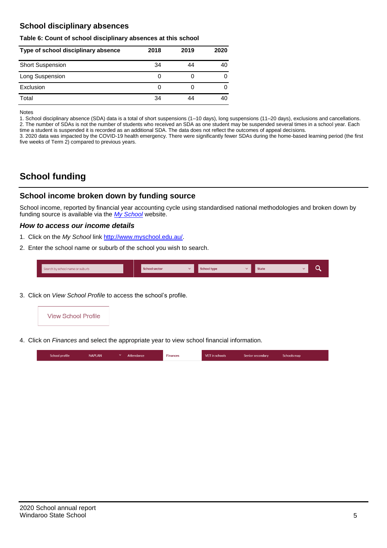## **School disciplinary absences**

#### **Table 6: Count of school disciplinary absences at this school**

| Type of school disciplinary absence | 2018 | 2019 | 2020 |
|-------------------------------------|------|------|------|
| <b>Short Suspension</b>             | 34   | 44   | 40   |
| Long Suspension                     | 0    |      |      |
| Exclusion                           | 0    |      |      |
| Total                               | 34   | 44   | 40   |

Notes

1. School disciplinary absence (SDA) data is a total of short suspensions (1–10 days), long suspensions (11–20 days), exclusions and cancellations. 2. The number of SDAs is not the number of students who received an SDA as one student may be suspended several times in a school year. Each time a student is suspended it is recorded as an additional SDA. The data does not reflect the outcomes of appeal decisions.

3. 2020 data was impacted by the COVID-19 health emergency. There were significantly fewer SDAs during the home-based learning period (the first five weeks of Term 2) compared to previous years.

# **School funding**

## **School income broken down by funding source**

School income, reported by financial year accounting cycle using standardised national methodologies and broken down by funding source is available via the *[My School](http://www.myschool.edu.au/)* website.

#### *How to access our income details*

- 1. Click on the *My School* link [http://www.myschool.edu.au/.](http://www.myschool.edu.au/)
- 2. Enter the school name or suburb of the school you wish to search.

| Search by school name or suburb | <b>School sector</b> | <b>School type</b> | <b>State</b> | ∽ |
|---------------------------------|----------------------|--------------------|--------------|---|
|                                 |                      |                    |              |   |

3. Click on *View School Profile* to access the school's profile.



4. Click on *Finances* and select the appropriate year to view school financial information.

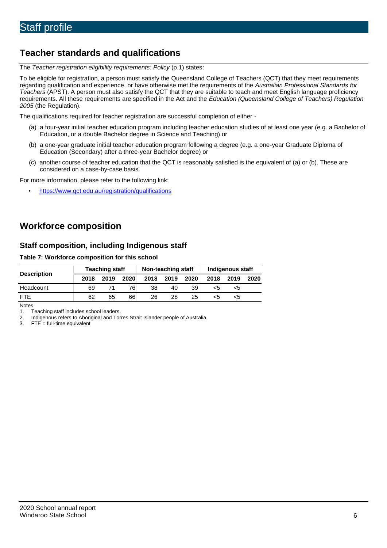# **Teacher standards and qualifications**

The *Teacher registration eligibility requirements: Policy* (p.1) states:

To be eligible for registration, a person must satisfy the Queensland College of Teachers (QCT) that they meet requirements regarding qualification and experience, or have otherwise met the requirements of the *Australian Professional Standards for Teachers* (APST). A person must also satisfy the QCT that they are suitable to teach and meet English language proficiency requirements. All these requirements are specified in the Act and the *Education (Queensland College of Teachers) Regulation 2005* (the Regulation).

The qualifications required for teacher registration are successful completion of either -

- (a) a four-year initial teacher education program including teacher education studies of at least one year (e.g. a Bachelor of Education, or a double Bachelor degree in Science and Teaching) or
- (b) a one-year graduate initial teacher education program following a degree (e.g. a one-year Graduate Diploma of Education (Secondary) after a three-year Bachelor degree) or
- (c) another course of teacher education that the QCT is reasonably satisfied is the equivalent of (a) or (b). These are considered on a case-by-case basis.

For more information, please refer to the following link:

• <https://www.qct.edu.au/registration/qualifications>

## **Workforce composition**

### **Staff composition, including Indigenous staff**

#### **Table 7: Workforce composition for this school**

|                    | <b>Teaching staff</b> |      | Non-teaching staff |      |      | Indigenous staff |      |      |      |
|--------------------|-----------------------|------|--------------------|------|------|------------------|------|------|------|
| <b>Description</b> | 2018                  | 2019 | 2020               | 2018 | 2019 | 2020             | 2018 | 2019 | 2020 |
| Headcount          | 69                    |      | 76                 | 38   | 40   | 39               | <5   | <5   |      |
| <b>FTF</b>         | 62                    | 65   | 66                 | 26   | 28   | 25               | <5   | ה>   |      |

Notes

1. Teaching staff includes school leaders.<br>2. Indigenous refers to Aboriginal and Tor

2. Indigenous refers to Aboriginal and Torres Strait Islander people of Australia.<br>3. FTE = full-time equivalent

 $FTE = full-time equivalent$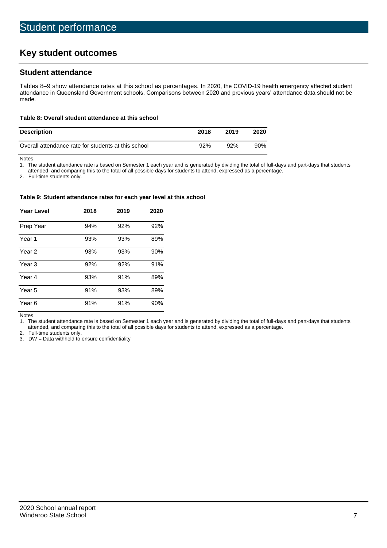# **Key student outcomes**

## **Student attendance**

Tables 8–9 show attendance rates at this school as percentages. In 2020, the COVID-19 health emergency affected student attendance in Queensland Government schools. Comparisons between 2020 and previous years' attendance data should not be made.

#### **Table 8: Overall student attendance at this school**

| <b>Description</b>                                  | 2018 | 2019 | 2020   |
|-----------------------------------------------------|------|------|--------|
| Overall attendance rate for students at this school | 92%  | 92%  | $90\%$ |

Notes<br>1. Th

The student attendance rate is based on Semester 1 each year and is generated by dividing the total of full-days and part-days that students

attended, and comparing this to the total of all possible days for students to attend, expressed as a percentage.

2. Full-time students only.

#### **Table 9: Student attendance rates for each year level at this school**

| <b>Year Level</b> | 2018 | 2019 | 2020 |
|-------------------|------|------|------|
| Prep Year         | 94%  | 92%  | 92%  |
| Year <sub>1</sub> | 93%  | 93%  | 89%  |
| Year 2            | 93%  | 93%  | 90%  |
| Year <sub>3</sub> | 92%  | 92%  | 91%  |
| Year 4            | 93%  | 91%  | 89%  |
| Year 5            | 91%  | 93%  | 89%  |
| Year <sub>6</sub> | 91%  | 91%  | 90%  |

Notes

1. The student attendance rate is based on Semester 1 each year and is generated by dividing the total of full-days and part-days that students attended, and comparing this to the total of all possible days for students to attend, expressed as a percentage.

2. Full-time students only.<br>3. DW = Data withheld to

 $DW = Data$  withheld to ensure confidentiality